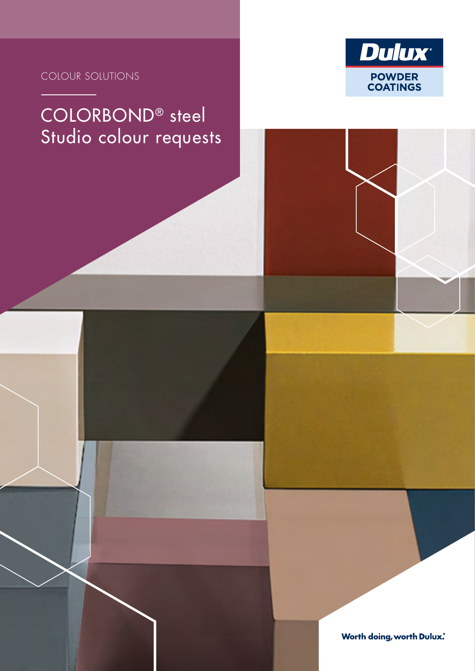



# COLORBOND® steel Studio colour requests

**Worth doing, worth Dulux.**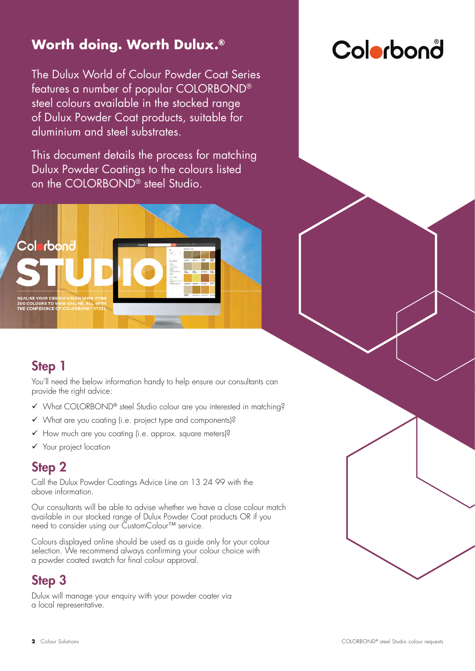# **Worth doing. Worth Dulux.®**

The Dulux World of Colour Powder Coat Series features a number of popular COLORBOND® steel colours available in the stocked range of Dulux Powder Coat products, suitable for aluminium and steel substrates.

This document details the process for matching Dulux Powder Coatings to the colours listed on the COLORBOND® steel Studio.



# Colorbonå

# Step 1

You'll need the below information handy to help ensure our consultants can provide the right advice:

- What COLORBOND® steel Studio colour are you interested in matching?
- $\checkmark$  What are you coating (i.e. project type and components)?
- $\checkmark$  How much are you coating (i.e. approx. square meters)?
- Your project location

# Step 2

Call the Dulux Powder Coatings Advice Line on 13 24 99 with the above information.

Our consultants will be able to advise whether we have a close colour match available in our stocked range of Dulux Powder Coat products OR if you need to consider using our CustomColour™ service.

Colours displayed online should be used as a guide only for your colour selection. We recommend always confirming your colour choice with a powder coated swatch for final colour approval.

# Step 3

Dulux will manage your enquiry with your powder coater via a local representative.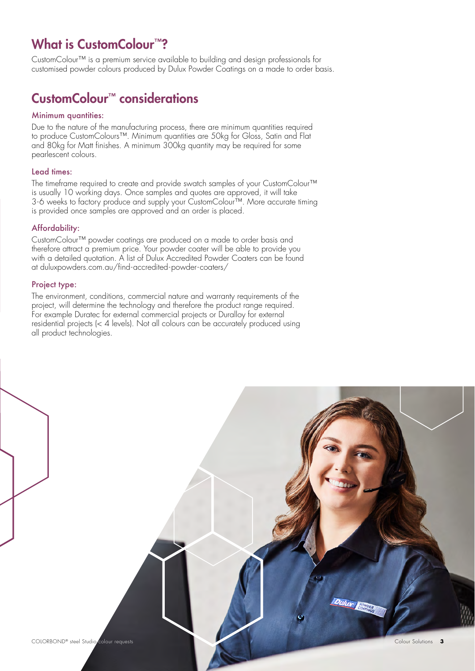# What is CustomColour<sup>™?</sup>

CustomColour™ is a premium service available to building and design professionals for customised powder colours produced by Dulux Powder Coatings on a made to order basis.

# CustomColour™ considerations

#### Minimum quantities:

Due to the nature of the manufacturing process, there are minimum quantities required to produce CustomColours™. Minimum quantities are 50kg for Gloss, Satin and Flat and 80kg for Matt finishes. A minimum 300kg quantity may be required for some pearlescent colours.

#### Lead times:

The timeframe required to create and provide swatch samples of your CustomColour™ is usually 10 working days. Once samples and quotes are approved, it will take 3-6 weeks to factory produce and supply your CustomColour™. More accurate timing is provided once samples are approved and an order is placed.

#### Affordability:

CustomColour™ powder coatings are produced on a made to order basis and therefore attract a premium price. Your powder coater will be able to provide you with a detailed quotation. A list of Dulux Accredited Powder Coaters can be found at duluxpowders.com.au/find-accredited-powder-coaters/

#### Project type:

The environment, conditions, commercial nature and warranty requirements of the project, will determine the technology and therefore the product range required. For example Duratec for external commercial projects or Duralloy for external residential projects (< 4 levels). Not all colours can be accurately produced using all product technologies.